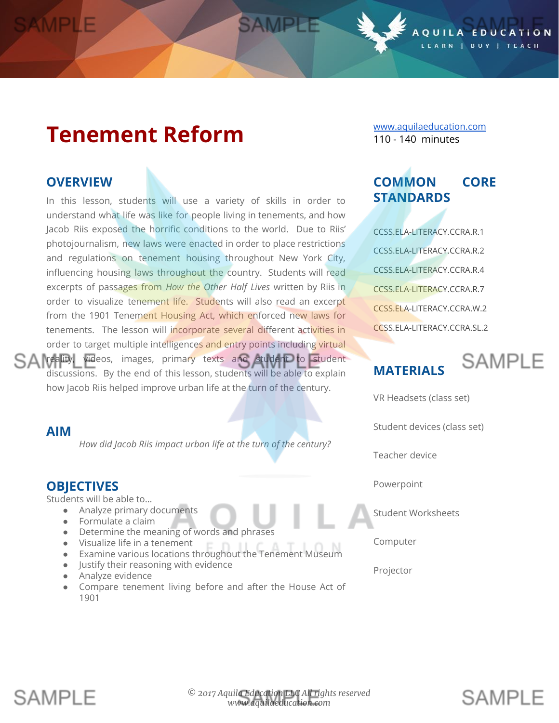# **Tenement Reform**

### **OVERVIEW**

In this lesson, students will use a variety of skills in order to understand what life was like for people living in tenements, and how Jacob Riis exposed the horrific conditions to the world. Due to Riis' photojournalism, new laws were enacted in order to place restrictions and regulations on tenement housing throughout New York City, influencing housing laws throughout the country. Students will read excerpts of passages from *How the Other Half Lives* written by Riis in order to visualize tenement life. Students will also read an excerpt from the 1901 Tenement Housing Act, which enforced new laws for tenements. The lesson will incorporate several different activities in order to target multiple intelligences and entry points including virtual SA reality, videos, images, primary texts and student to student discussions. By the end of this lesson, students will be able to explain how Jacob Riis helped improve urban life at the turn of the century.

#### **AIM**

*How did Jacob Riis impact urban life at the turn of the century?*

### **OBJECTIVES**

Students will be able to…

- Analyze primary documents
- Formulate a claim
- Determine the meaning of words and phrases
- Visualize life in a tenement
- Examine various locations throughout the Tenement Museum
- Justify their reasoning with evidence
- Analyze evidence
- Compare tenement living before and after the House Act of 1901

[www.aquilaeducation.com](http://www.aquilaeducation.com/) 110 - 140 minutes

 $0 \cup L$ 

# **COMMON CORE STANDARDS**

CCSS.ELA-LITERACY.CCRA.R.1 CCSS.ELA-LITERACY.CCRA.R.2 CCSS.ELA-LITERACY.CCRA.R.4 CCSS.ELA-LITERACY.CCRA.R.7 CCSS.ELA-LITERACY.CCRA.W.2 CCSS.ELA-LITERACY.CCRA.SL.2

# **MATERIALS**



**SAMPIF** 

EDUCATION

I BUY I TEACH

VR Headsets (class set)

Student devices (class set)

Teacher device

Powerpoint

Student Worksheets

Computer

Projector

# **SAMPIF**

SAMPLE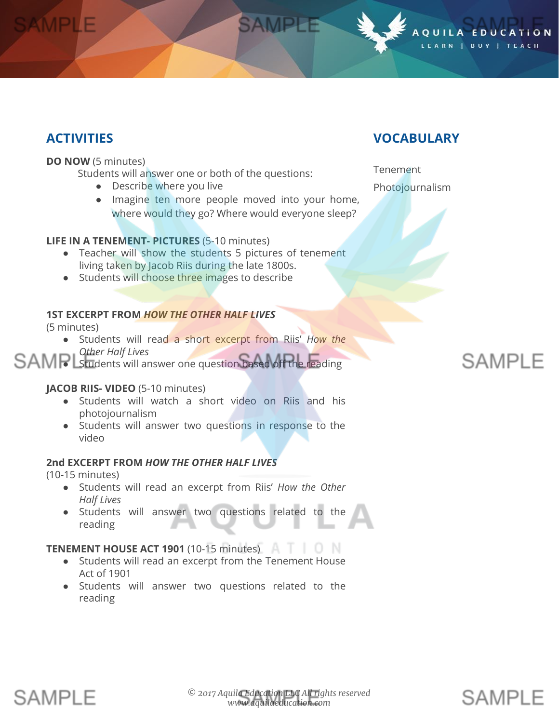# **ACTIVITIES**

#### **DO NOW** (5 minutes)

Students will answer one or both of the questions:

- Describe where you live
- Imagine ten more people moved into your home, where would they go? Where would everyone sleep?

SAMPLE

#### **LIFE IN A TENEMENT- PICTURES** (5-10 minutes)

- Teacher will show the students 5 pictures of tenement living taken by Jacob Riis during the late 1800s.
- Students will choose three images to describe

#### **1ST EXCERPT FROM** *HOW THE OTHER HALF LIVES*

(5 minutes)

● Students will read a short excerpt from Riis' *How the Other Half Lives*

#### ● Students will answer one question based off the reading

#### **JACOB RIIS- VIDEO** (5-10 minutes)

- Students will watch a short video on Riis and his photojournalism
- Students will answer two questions in response to the video

#### **2nd EXCERPT FROM** *HOW THE OTHER HALF LIVES*

(10-15 minutes)

- Students will read an excerpt from Riis' *How the Other Half Lives*
- Students will answer two questions related to the reading

#### **TENEMENT HOUSE ACT 1901** (10-15 minutes)

- Students will read an excerpt from the Tenement House Act of 1901
- Students will answer two questions related to the reading

### **VOCABULARY**

OUILA

**Tenement** Photojournalism

# **SAMPLE**

**SAMPIF** 

EDUCATION

LEARN | BUY | TEACH

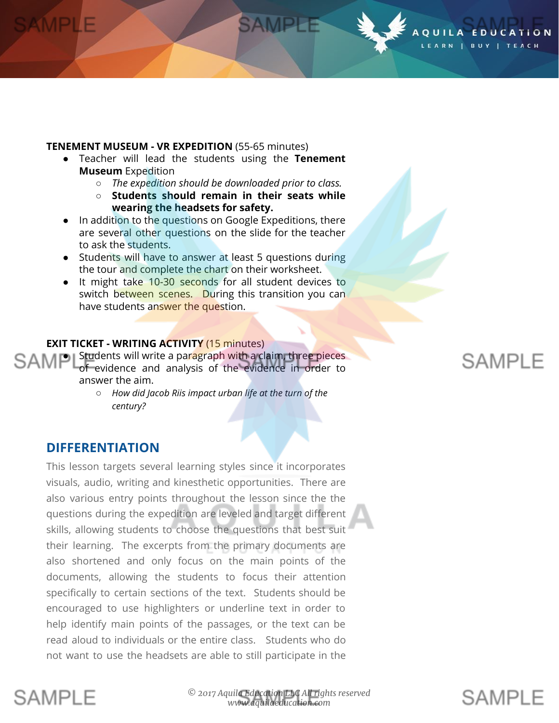#### **TENEMENT MUSEUM - VR EXPEDITION** (55-65 minutes)

- Teacher will lead the students using the **Tenement Museum** Expedition
	- *The expedition should be downloaded prior to class.*

SAMPLE

- **○ Students should remain in their seats while wearing the headsets for safety.**
- In addition to the questions on Google Expeditions, there are several other questions on the slide for the teacher to ask the students.
- Students will have to answer at least 5 questions during the tour and complete the chart on their worksheet.
- It might take 10-30 seconds for all student devices to switch between scenes. During this transition you can have students answer the question.

#### **EXIT TICKET - WRITING ACTIVITY** (15 minutes)

SAMP Students will write a paragraph with a claim, three pieces of evidence and analysis of the evidence in order to answer the aim.

> ○ *How did Jacob Riis impact urban life at the turn of the century?*

### **DIFFERENTIATION**

This lesson targets several learning styles since it incorporates visuals, audio, writing and kinesthetic opportunities. There are also various entry points throughout the lesson since the the questions during the expedition are leveled and target different skills, allowing students to choose the questions that best suit their learning. The excerpts from the primary documents are also shortened and only focus on the main points of the documents, allowing the students to focus their attention specifically to certain sections of the text. Students should be encouraged to use highlighters or underline text in order to help identify main points of the passages, or the text can be read aloud to individuals or the entire class. Students who do not want to use the headsets are able to still participate in the